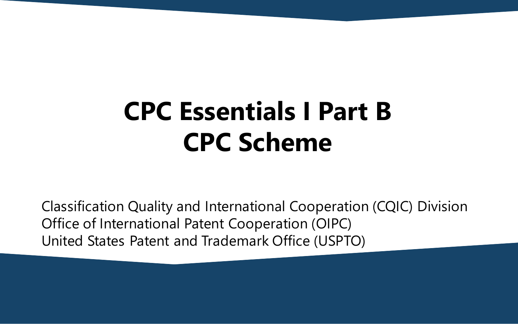# **CPC Essentials I Part B CPC Scheme**

Classification Quality and International Cooperation (CQIC) Division Office of International Patent Cooperation (OIPC) United States Patent and Trademark Office (USPTO)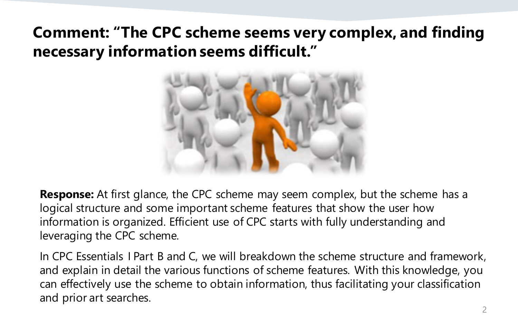### **Comment: "The CPC scheme seems very complex, and finding necessary information seems difficult."**



**Response:** At first glance, the CPC scheme may seem complex, but the scheme has a logical structure and some important scheme features that show the user how information is organized. Efficient use of CPC starts with fully understanding and leveraging the CPC scheme.

In CPC Essentials I Part B and C, we will breakdown the scheme structure and framework, and explain in detail the various functions of scheme features. With this knowledge, you can effectively use the scheme to obtain information, thus facilitating your classification and prior art searches.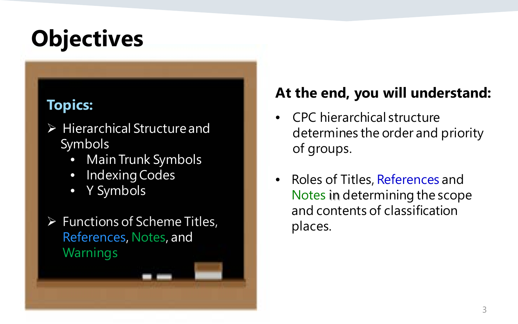# **Objectives**

### **Topics:**

- $\triangleright$  Hierarchical Structure and Symbols
	- Main Trunk Symbols
	- Indexing Codes
	- Y Symbols
- $\triangleright$  Functions of Scheme Titles, References, Notes, and Warnings

### **At the end, you will understand:**

- CPC hierarchical structure determines the order and priority of groups.
- Roles of Titles, References and Notes in determining the scope and contents of classification places.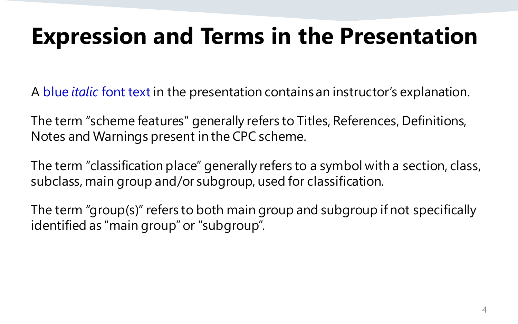## **Expression and Terms in the Presentation**

A blue *italic* font text in the presentation contains an instructor's explanation.

The term "scheme features" generally refers to Titles, References, Definitions, Notes and Warnings present in the CPC scheme.

The term "classification place" generally refers to a symbol with a section, class, subclass, main group and/or subgroup, used for classification.

The term "group(s)" refers to both main group and subgroup if not specifically identified as "main group" or "subgroup".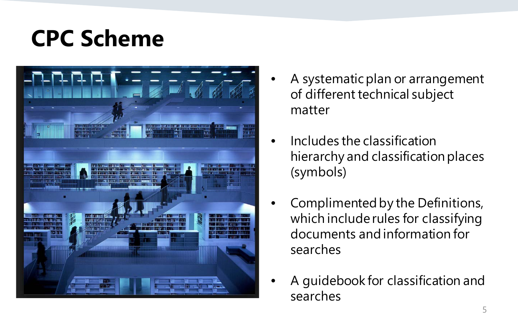## **CPC Scheme**



- A systematic plan or arrangement of different technical subject matter
- Includes the classification hierarchy and classification places (symbols)
- Complimented by the Definitions, which include rules for classifying documents and information for searches
- A guidebook for classification and searches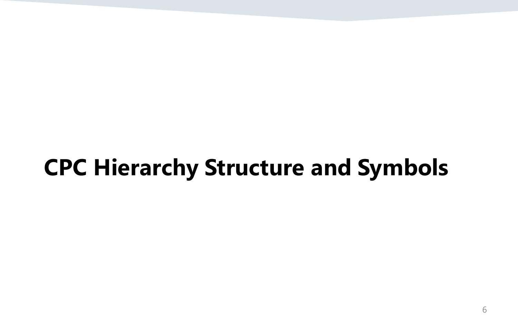# **CPC Hierarchy Structure and Symbols**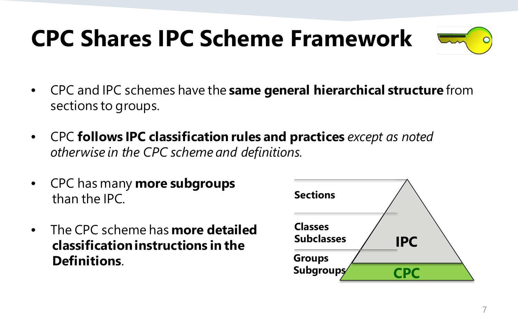# **CPC Shares IPC Scheme Framework**



- CPC and IPC schemes have the **same general hierarchical structure** from sections to groups.
- CPC **follows IPC classification rules and practices** *except as noted otherwise in the CPC scheme and definitions.*
- CPC has many **more subgroups**  than the IPC.
- The CPC scheme has **more detailed classification instructions in the Definitions**.

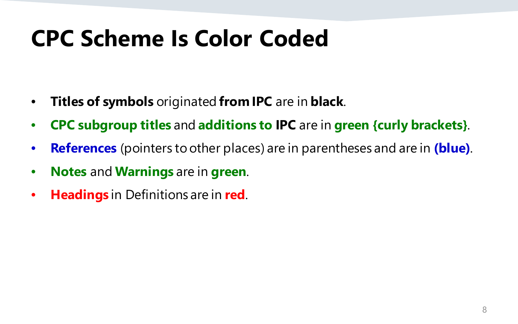# **CPC Scheme Is Color Coded**

- **Titles of symbols** originated **from IPC** are in **black**.
- **CPC subgroup titles** and **additions to IPC** are in **green {curly brackets}**.
- **References** (pointers to other places) are in parentheses and are in **(blue)**.
- **Notes** and **Warnings** are in **green**.
- **Headings** in Definitions are in **red**.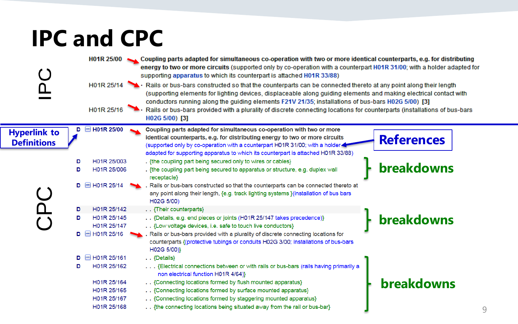## **IPC and CPC**

|                                           | H01R 25/00<br>Coupling parts adapted for simultaneous co-operation with two or more identical counterparts, e.g. for distributing<br>energy to two or more circuits (supported only by co-operation with a counterpart H01R 31/00; with a holder adapted for<br>supporting apparatus to which its counterpart is attached H01R 33/88)<br>H01R 25/14<br>Rails or bus-bars constructed so that the counterparts can be connected thereto at any point along their length<br>(supporting elements for lighting devices, displaceable along quiding elements and making electrical contact with<br>conductors running along the quiding elements F21V 21/35; installations of bus-bars H02G 5/00) [3]<br>H01R 25/16<br>Rails or bus-bars provided with a plurality of discrete connecting locations for counterparts (installations of bus-bars<br>H02G 5/00) [3] |                   |
|-------------------------------------------|---------------------------------------------------------------------------------------------------------------------------------------------------------------------------------------------------------------------------------------------------------------------------------------------------------------------------------------------------------------------------------------------------------------------------------------------------------------------------------------------------------------------------------------------------------------------------------------------------------------------------------------------------------------------------------------------------------------------------------------------------------------------------------------------------------------------------------------------------------------|-------------------|
| <b>Hyperlink to</b><br><b>Definitions</b> | $H$ 01R 25/00<br>Coupling parts adapted for simultaneous co-operation with two or more<br>identical counterparts, e.g. for distributing energy to two or more circuits<br>(supported only by co-operation with a counterpart H01R 31/00; with a holder<br>adapted for supporting apparatus to which its counterpart is attached H01R 33/88)                                                                                                                                                                                                                                                                                                                                                                                                                                                                                                                   | <b>References</b> |
|                                           | H01R 25/003<br>. {the coupling part being secured only to wires or cables}<br>D<br>D<br>H01R 25/006<br>. {the coupling part being secured to apparatus or structure, e.g. duplex wall<br>receptacle}                                                                                                                                                                                                                                                                                                                                                                                                                                                                                                                                                                                                                                                          | <b>breakdowns</b> |
|                                           | $\Box$ H01R 25/14<br>Rails or bus-bars constructed so that the counterparts can be connected thereto at<br>any point along their length, {e.g. track lighting systems } (installation of bus bars<br>H02G 5/00)                                                                                                                                                                                                                                                                                                                                                                                                                                                                                                                                                                                                                                               |                   |
|                                           | H01R 25/142<br>D<br>{Their counterparts}<br>H01R 25/145<br>. . {Details, e.g. end pieces or joints (H01R 25/147 takes precedence)}<br>D<br>H01R 25/147<br>{Low voltage devices, i.e. safe to touch live conductors}<br>$D$ $H$ HO1R 25/16<br>Rails or bus-bars provided with a plurality of discrete connecting locations for<br>counterparts {(protective tubings or conduits H02G 3/00; installations of bus-bars                                                                                                                                                                                                                                                                                                                                                                                                                                           | <b>breakdowns</b> |
|                                           | H02G 5/00)}<br>$D = H01R 25/161$<br>$\ldots$ {Details}<br>H01R 25/162<br>{Electrical connections between or with rails or bus-bars (rails having primarily a<br>D<br>non electrical function H01R 4/64)}<br>H01R 25/164<br>{Connecting locations formed by flush mounted apparatus}<br>H01R 25/165<br>{Connecting locations formed by surface mounted apparatus}<br>H01R 25/167<br>{Connecting locations formed by staggering mounted apparatus}                                                                                                                                                                                                                                                                                                                                                                                                              | <b>breakdowns</b> |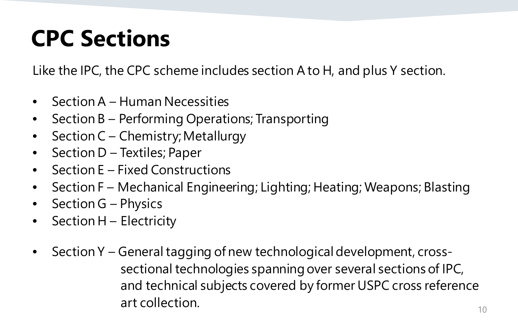# **CPC Sections**

Like the IPC, the CPC scheme includes section A to H, and plus Y section.

- Section A Human Necessities
- Section B Performing Operations; Transporting
- Section C Chemistry; Metallurgy
- Section D Textiles; Paper
- Section E Fixed Constructions
- Section F Mechanical Engineering; Lighting; Heating; Weapons; Blasting
- Section G Physics
- Section H Electricity
- Section Y General tagging of new technological development, crosssectional technologies spanning over several sections of IPC, and technical subjects covered by former USPC cross reference art collection.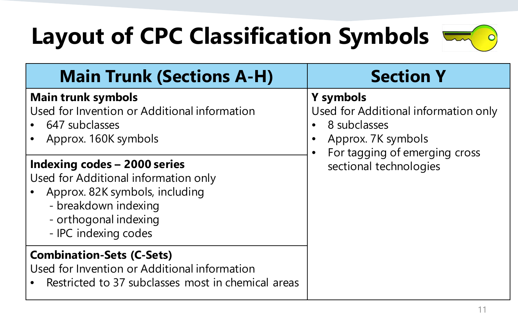# **Layout of CPC Classification Symbols**



| <b>Main Trunk (Sections A-H)</b>                                                                                                                                                                                                                                                                       | <b>Section Y</b>                                                                                                                                   |
|--------------------------------------------------------------------------------------------------------------------------------------------------------------------------------------------------------------------------------------------------------------------------------------------------------|----------------------------------------------------------------------------------------------------------------------------------------------------|
| <b>Main trunk symbols</b><br>Used for Invention or Additional information<br>647 subclasses<br>Approx. 160K symbols<br>Indexing codes - 2000 series<br>Used for Additional information only<br>Approx. 82K symbols, including<br>- breakdown indexing<br>- orthogonal indexing<br>- IPC indexing codes | Y symbols<br>Used for Additional information only<br>8 subclasses<br>Approx. 7K symbols<br>For tagging of emerging cross<br>sectional technologies |
| <b>Combination-Sets (C-Sets)</b><br>Used for Invention or Additional information<br>Restricted to 37 subclasses most in chemical areas                                                                                                                                                                 |                                                                                                                                                    |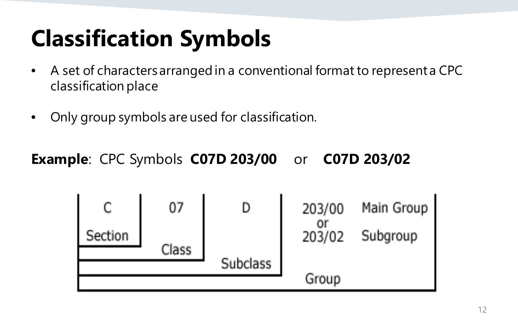# **Classification Symbols**

- A set of characters arranged in a conventional format to represent a CPC classification place
- Only group symbols are used for classification.

**Example**: CPC Symbols **C07D 203/00** or **C07D 203/02**

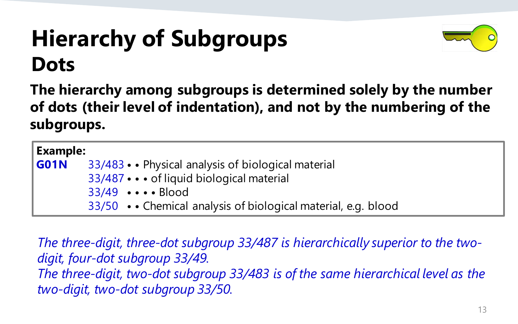### **Hierarchy of Subgroups Dots**



**The hierarchy among subgroups is determined solely by the number of dots (their level of indentation), and not by the numbering of the subgroups.** 

**Example: G01N** 33/483 **• •** Physical analysis of biological material 33/487 **• • •** of liquid biological material 33/49 **• • • •** Blood 33/50 **• •** Chemical analysis of biological material, e.g. blood

*The three-digit, three-dot subgroup 33/487 is hierarchically superior to the twodigit, four-dot subgroup 33/49. The three-digit, two-dot subgroup 33/483 is of the same hierarchical level as the two-digit, two-dot subgroup 33/50.*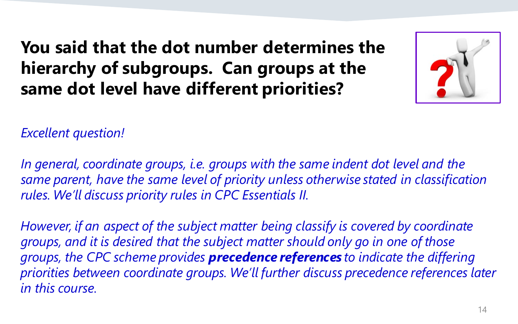### **You said that the dot number determines the hierarchy of subgroups. Can groups at the same dot level have different priorities?**



*Excellent question!*

*In general, coordinate groups, i.e. groups with the same indent dot level and the same parent, have the same level of priority unless otherwise stated in classification rules. We'll discuss priority rules in CPC Essentials II.*

*However, if an aspect of the subject matter being classify is covered by coordinate groups, and it is desired that the subject matter should only go in one of those groups, the CPC scheme provides precedence references to indicate the differing priorities between coordinate groups. We'll further discuss precedence references later in this course.*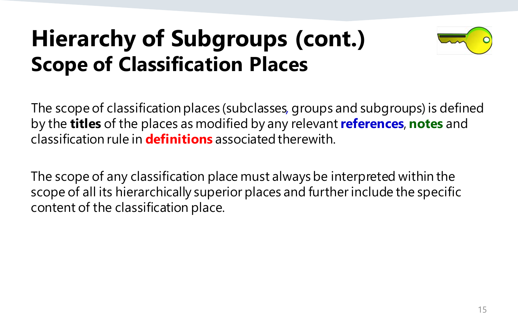## **Hierarchy of Subgroups (cont.) Scope of Classification Places**



The scope of classification places (subclasses*,* groups and subgroups) is defined by the **titles** of the places as modified by any relevant **references**, **notes** and classification rule in **definitions** associated therewith.

The scope of any classification place must always be interpreted within the scope of all its hierarchically superior places and further include the specific content of the classification place.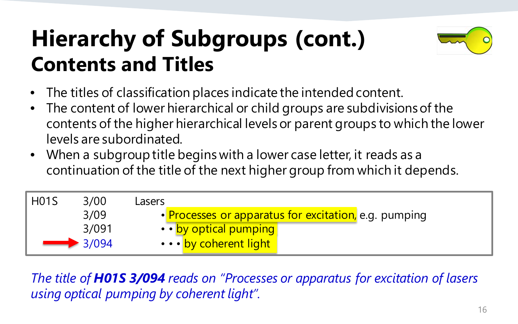## **Hierarchy of Subgroups (cont.) Contents and Titles**



- The titles of classification places indicate the intended content.
- The content of lower hierarchical or child groups are subdivisions of the contents of the higher hierarchical levels or parent groups to which the lower levels are subordinated.
- When a subgroup title begins with a lower case letter, it reads as a continuation of the title of the next higher group from which it depends.

| <b>H01S</b> | 3/00     | Lasers                                                |
|-------------|----------|-------------------------------------------------------|
|             | 3/09     | • Processes or apparatus for excitation, e.g. pumping |
|             | 3/091    | • • by optical pumping                                |
|             | $-3/094$ | • • • by coherent light                               |

*The title of H01S 3/094 reads on "Processes or apparatus for excitation of lasers using optical pumping by coherent light".*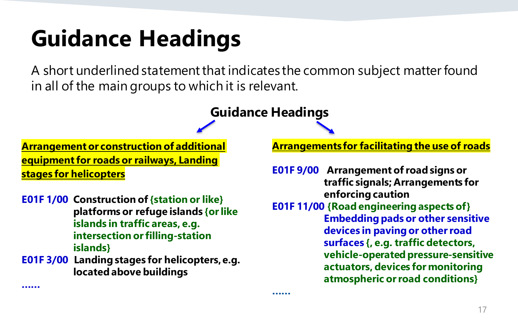# **Guidance Headings**

A short underlined statement that indicates the common subject matter found in all of the main groups to which it is relevant.

#### **Guidance Headings**

**……**

**Arrangement or construction of additional equipment for roads or railways, Landing stages for helicopters**

**E01F 1/00 Construction of{station or like} platforms or refuge islands {or like islands in traffic areas, e.g. intersection or filling-station islands}** 

**E01F 3/00 Landing stages for helicopters, e.g. located above buildings**

**……**

**Arrangements for facilitating the use of roads**

- **E01F 9/00 Arrangement of road signs or traffic signals; Arrangements for enforcing caution**
- **E01F 11/00 {Road engineering aspects of} Embedding pads or other sensitive devices in paving or other road surfaces {, e.g. traffic detectors, vehicle-operated pressure-sensitive actuators, devices for monitoring atmospheric or road conditions}**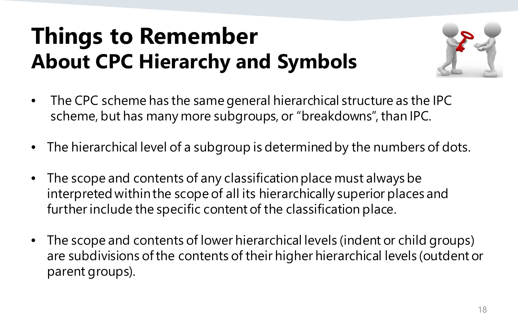## **Things to Remember About CPC Hierarchy and Symbols**



- The CPC scheme has the same general hierarchical structure as the IPC scheme, but has many more subgroups, or "breakdowns", than IPC.
- The hierarchical level of a subgroup is determined by the numbers of dots.
- The scope and contents of any classification place must always be interpreted within the scope of all its hierarchically superior places and further include the specific content of the classification place.
- The scope and contents of lower hierarchical levels (indent or child groups) are subdivisions of the contents of their higher hierarchical levels (outdent or parent groups).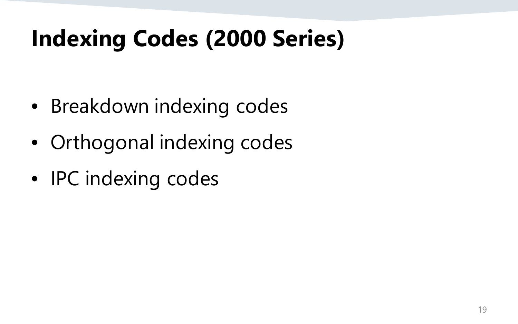# **Indexing Codes (2000 Series)**

- Breakdown indexing codes
- Orthogonal indexing codes
- **IPC** indexing codes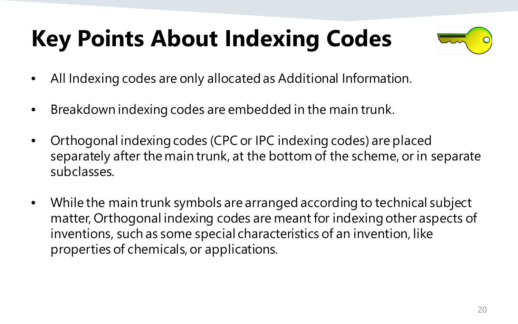# **Key Points About Indexing Codes**



- All Indexing codes are only allocated as Additional Information.
- Breakdown indexing codes are embedded in the main trunk.
- Orthogonal indexing codes (CPC or IPC indexing codes) are placed separately after the main trunk, at the bottom of the scheme, or in separate subclasses.
- While the main trunk symbols are arranged according to technical subject matter, Orthogonal indexing codes are meant for indexing other aspects of inventions, such as some special characteristics of an invention, like properties of chemicals, or applications.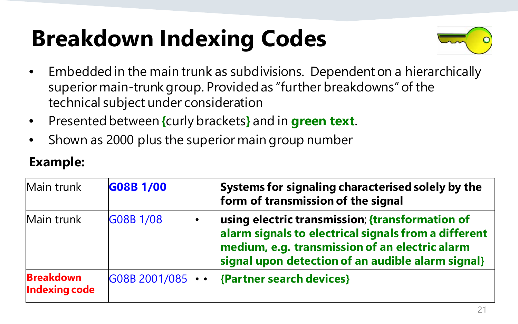# **Breakdown Indexing Codes**



- Embedded in the main trunk as subdivisions. Dependent on a hierarchically superior main-trunk group. Provided as "further breakdowns" of the technical subject under consideration
- Presented between **{**curly brackets**}** and in **green text**.
- Shown as 2000 plus the superior main group number

#### **Example:**

| Main trunk                        | G08B 1/00              | form of transmission of the signal                                                                | Systems for signaling characterised solely by the                                                         |
|-----------------------------------|------------------------|---------------------------------------------------------------------------------------------------|-----------------------------------------------------------------------------------------------------------|
| Main trunk                        | G08B 1/08<br>$\bullet$ | using electric transmission; {transformation of<br>medium, e.g. transmission of an electric alarm | alarm signals to electrical signals from a different<br>signal upon detection of an audible alarm signal} |
| <b>Breakdown</b><br>Indexing code |                        | G08B 2001/085 • • {Partner search devices}                                                        |                                                                                                           |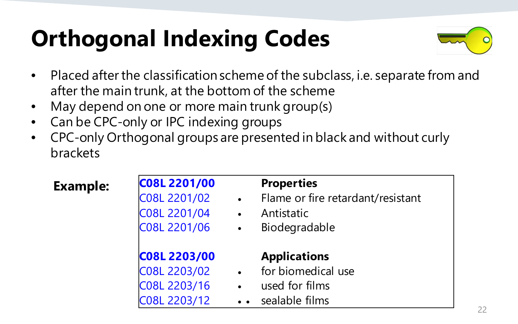# **Orthogonal Indexing Codes**



- Placed after the classification scheme of the subclass, i.e. separate from and after the main trunk, at the bottom of the scheme
- May depend on one or more main trunk group(s)
- Can be CPC-only or IPC indexing groups
- CPC-only Orthogonal groups are presented in black and without curly brackets

| C08L 2201/00 |           | <b>Properties</b>                 |
|--------------|-----------|-----------------------------------|
| C08L 2201/02 | $\bullet$ | Flame or fire retardant/resistant |
| C08L 2201/04 | $\bullet$ | Antistatic                        |
| C08L 2201/06 | $\bullet$ | Biodegradable                     |
|              |           |                                   |
| C08L 2203/00 |           | <b>Applications</b>               |
| C08L 2203/02 | $\bullet$ | for biomedical use                |
| C08L 2203/16 | $\bullet$ | used for films                    |
| C08L 2203/12 |           | sealable films                    |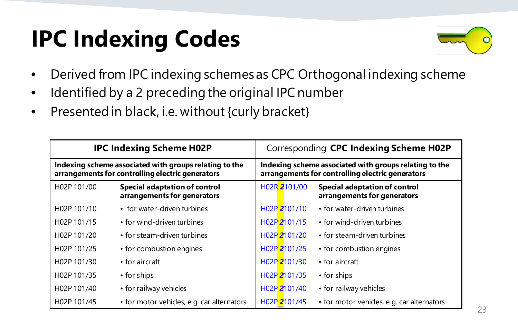# **IPC Indexing Codes**



- Derived from IPC indexing schemes as CPC Orthogonal indexing scheme
- Identified by a 2 preceding the original IPC number
- Presented in black, i.e. without {curly bracket}

| <b>IPC Indexing Scheme H02P</b>                                                                            |                                                                     |              | Corresponding CPC Indexing Scheme H02P                                                                     |
|------------------------------------------------------------------------------------------------------------|---------------------------------------------------------------------|--------------|------------------------------------------------------------------------------------------------------------|
| Indexing scheme associated with groups relating to the<br>arrangements for controlling electric generators |                                                                     |              | Indexing scheme associated with groups relating to the<br>arrangements for controlling electric generators |
| H02P 101/00                                                                                                | <b>Special adaptation of control</b><br>arrangements for generators | H02R 2101/00 | <b>Special adaptation of control</b><br>arrangements for generators                                        |
| H02P 101/10                                                                                                | • for water-driven turbines                                         | H02P 2101/10 | • for water-driven turbines                                                                                |
| H02P 101/15                                                                                                | • for wind-driven turbines                                          | H02P2101/15  | • for wind-driven turbines                                                                                 |
| H02P 101/20                                                                                                | • for steam-driven turbines                                         | H02P2101/20  | • for steam-driven turbines                                                                                |
| H02P 101/25                                                                                                | • for combustion engines                                            | H02P2101/25  | • for combustion engines                                                                                   |
| H02P 101/30                                                                                                | $\cdot$ for aircraft                                                | H02P 2101/30 | $\cdot$ for aircraft                                                                                       |
| H02P 101/35                                                                                                | • for ships                                                         | H02P2101/35  | • for ships                                                                                                |
| H02P 101/40                                                                                                | • for railway vehicles                                              | H02P2101/40  | • for railway vehicles                                                                                     |
| H02P 101/45                                                                                                | • for motor vehides, e.g. car alternators                           | H02P2101/45  | • for motor vehides, e.g. car alternators                                                                  |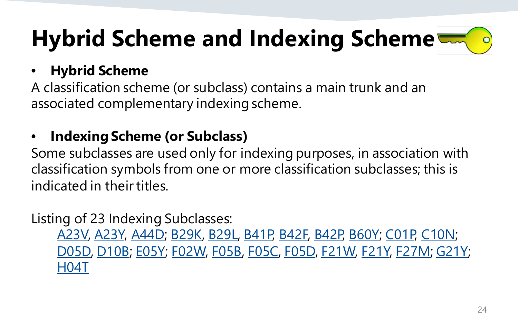# **Hybrid Scheme and Indexing Scheme**

### • **Hybrid Scheme**

A classification scheme (or subclass) contains a main trunk and an associated complementary indexing scheme.

### • **Indexing Scheme (or Subclass)**

Some subclasses are used only for indexing purposes, in association with classification symbols from one or more classification subclasses; this is indicated in their titles.

### Listing of 23 Indexing Subclasses:

A23V, [A23Y,](http://ptoweb.uspto.gov/patents/classification/cpc/html/cpc-A23Y.html) [A44D;](http://ptoweb.uspto.gov/patents/classification/cpc/html/cpc-A44D.html) [B29K,](http://ptoweb.uspto.gov/patents/classification/cpc/html/cpc-B29K.html) [B29L](http://ptoweb.uspto.gov/patents/classification/cpc/html/cpc-B29L.html), [B41P,](http://ptoweb.uspto.gov/patents/classification/cpc/html/cpc-B41P.html) [B42F,](http://ptoweb.uspto.gov/patents/classification/cpc/html/cpc-B42F.html) [B42P,](http://ptoweb.uspto.gov/patents/classification/cpc/html/cpc-B42P.html) [B60Y;](http://ptoweb.uspto.gov/patents/classification/cpc/html/cpc-B60Y.html) [C01P,](http://ptoweb.uspto.gov/patents/classification/cpc/html/cpc-C01P.html) [C10N;](http://ptoweb.uspto.gov/patents/classification/cpc/html/cpc-C10N.html) [D05D](http://ptoweb.uspto.gov/patents/classification/cpc/html/cpc-D05D.html), [D10B](http://ptoweb.uspto.gov/patents/classification/cpc/html/cpc-D10B.html); [E05Y;](http://ptoweb.uspto.gov/patents/classification/cpc/html/cpc-E05Y.html) [F02W,](http://ptoweb.uspto.gov/patents/classification/cpc/html/cpc-F02W.html) [F05B](http://ptoweb.uspto.gov/patents/classification/cpc/html/cpc-F05B.html), [F05C](http://ptoweb.uspto.gov/patents/classification/cpc/html/cpc-F05C.html), [F05D](http://ptoweb.uspto.gov/patents/classification/cpc/html/cpc-F05D.html), [F21W,](http://ptoweb.uspto.gov/patents/classification/cpc/html/cpc-F21W.html) [F21Y,](http://ptoweb.uspto.gov/patents/classification/cpc/html/cpc-F21Y.html) [F27M](http://ptoweb.uspto.gov/patents/classification/cpc/html/cpc-F27M.html); [G21Y;](http://ptoweb.uspto.gov/patents/classification/cpc/html/cpc-G21Y.html) [H04T](http://ptoweb.uspto.gov/patents/classification/cpc/html/cpc-H04T.html)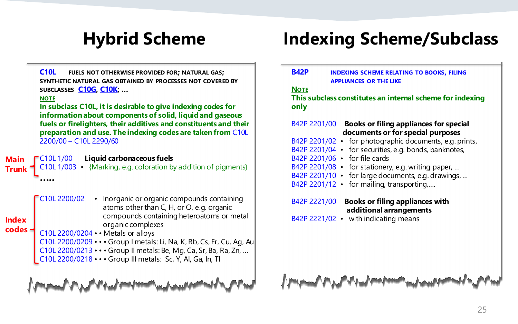### **Hybrid Scheme Indexing Scheme/Subclass**

|                             | <b>C10L</b><br>FUELS NOT OTHERWISE PROVIDED FOR; NATURAL GAS;<br>SYNTHETIC NATURAL GAS OBTAINED BY PROCESSES NOT COVERED BY<br>SUBCLASSES C10G, C10K;<br><b>NOTE</b><br>In subclass C10L, it is desirable to give indexing codes for<br>information about components of solid, liquid and gaseous                                                                                                                                           | <b>B42P</b><br><b>INDEXING SCHEME RELATING TO BOOKS, FILING</b><br><b>APPLIANCES OR THE LIKE</b><br><b>NOTE</b><br>This subclass constitutes an internal scheme for indexing<br>only                         |
|-----------------------------|---------------------------------------------------------------------------------------------------------------------------------------------------------------------------------------------------------------------------------------------------------------------------------------------------------------------------------------------------------------------------------------------------------------------------------------------|--------------------------------------------------------------------------------------------------------------------------------------------------------------------------------------------------------------|
|                             | fuels or firelighters, their additives and constituents and their<br>preparation and use. The indexing codes are taken from C10L<br>2200/00 - C10L 2290/60                                                                                                                                                                                                                                                                                  | B42P 2201/00 Books or filing appliances for special<br>documents or for special purposes<br>B42P 2201/02 • for photographic documents, e.g. prints,<br>B42P 2201/04 · for securities, e.g. bonds, banknotes, |
| <b>Main</b><br><b>Trunk</b> | Liquid carbonaceous fuels<br>C10L 1/00<br>{Marking, e.g. coloration by addition of pigments}<br>$C10L1/003$ •                                                                                                                                                                                                                                                                                                                               | B42P 2201/06 • for file cards<br>B42P 2201/08 • for stationery, e.g. writing paper,<br>B42P 2201/10 • for large documents, e.g. drawings,<br>B42P 2201/12 • for mailing, transporting,                       |
| <b>Index</b><br>codes       | C <sub>10</sub> L 2200/02<br>• Inorganic or organic compounds containing<br>atoms other than C, H, or O, e.g. organic<br>compounds containing heteroatoms or metal<br>organic complexes<br>C10L 2200/0204 • • Metals or alloys<br>C10L 2200/0209 ••• Group I metals: Li, Na, K, Rb, Cs, Fr, Cu, Ag, Au<br>C10L 2200/0213 • • • Group II metals: Be, Mg, Ca, Sr, Ba, Ra, Zn,<br>C10L 2200/0218 • • • Group III metals: Sc, Y, Al, Ga, In, TI | <b>Books or filing appliances with</b><br>B42P 2221/00<br>additional arrangements<br>B42P 2221/02 • with indicating means                                                                                    |
|                             |                                                                                                                                                                                                                                                                                                                                                                                                                                             |                                                                                                                                                                                                              |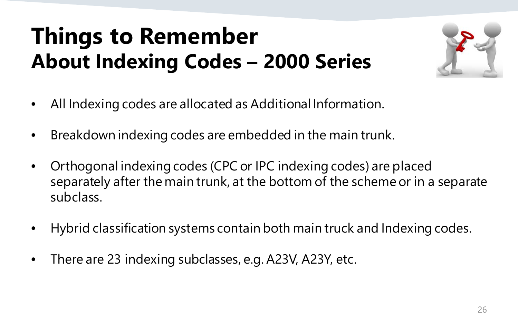## **Things to Remember About Indexing Codes – 2000 Series**



- All Indexing codes are allocated as Additional Information.
- Breakdown indexing codes are embedded in the main trunk.
- Orthogonal indexing codes (CPC or IPC indexing codes) are placed separately after the main trunk, at the bottom of the scheme or in a separate subclass.
- Hybrid classification systems contain both main truck and Indexing codes.
- There are 23 indexing subclasses, e.g. A23V, A23Y, etc.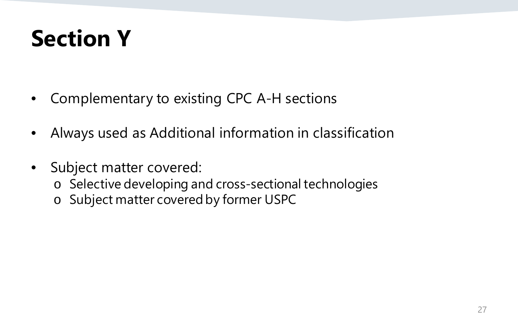# **Section Y**

- Complementary to existing CPC A-H sections
- Always used as Additional information in classification
- Subject matter covered:
	- o Selective developing and cross-sectional technologies
	- o Subject matter covered by former USPC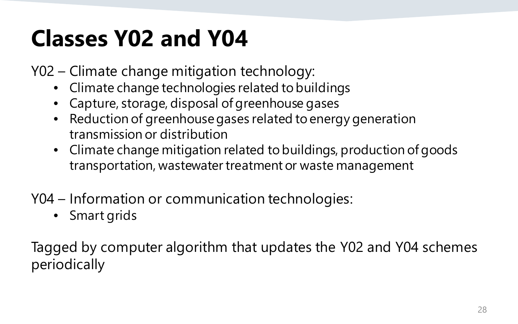## **Classes Y02 and Y04**

Y02 – Climate change mitigation technology:

- Climate change technologies related to buildings
- Capture, storage, disposal of greenhouse gases
- Reduction of greenhouse gases related to energy generation transmission or distribution
- Climate change mitigation related to buildings, production of goods transportation, wastewater treatment or waste management
- Y04 Information or communication technologies:
	- Smart grids

Tagged by computer algorithm that updates the Y02 and Y04 schemes periodically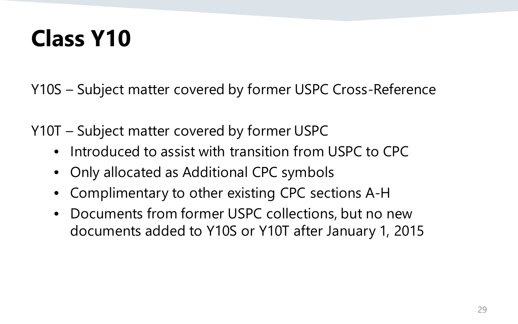## **Class Y10**

Y10S – Subject matter covered by former USPC Cross-Reference

Y10T – Subject matter covered by former USPC

- Introduced to assist with transition from USPC to CPC
- Only allocated as Additional CPC symbols
- Complimentary to other existing CPC sections A-H
- Documents from former USPC collections, but no new documents added to Y10S or Y10T after January 1, 2015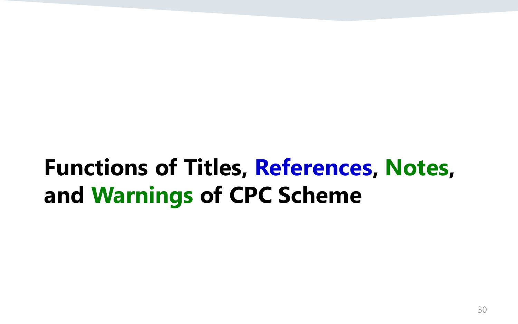## **Functions of Titles, References, Notes, and Warnings of CPC Scheme**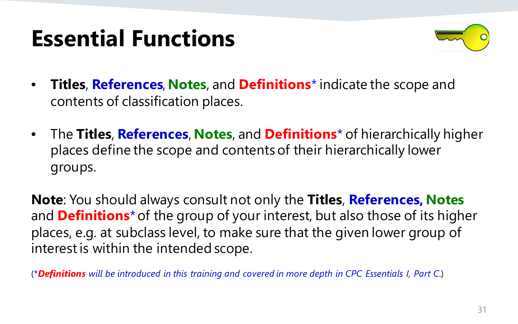### **Essential Functions**



- **Titles**, **References**,**Notes**, and **Definitions**\* indicate the scope and contents of classification places.
- The **Titles**, **References**, **Notes**, and **Definitions**\* of hierarchically higher places define the scope and contents of their hierarchically lower groups.

**Note**: You should always consult not only the **Titles**, **References, Notes** and **Definitions**\*of the group of your interest, but also those of its higher places, e.g. at subclass level, to make sure that the given lower group of interest is within the intended scope.

(\**Definitions will be introduced in this training and covered in more depth in CPC Essentials I, Part C*.)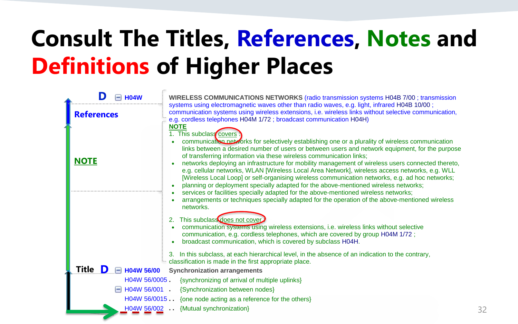# **Consult The Titles, References, Notes and Definitions of Higher Places**

| <b>H04W</b>                   | WIRELESS COMMUNICATIONS NETWORKS (radio transmission systems H04B 7/00 ; transmission                                                                                                                                                                                                                                                                                                                                                                                                                                                                                                                                                                                                                                                                                                                                                                                                           |
|-------------------------------|-------------------------------------------------------------------------------------------------------------------------------------------------------------------------------------------------------------------------------------------------------------------------------------------------------------------------------------------------------------------------------------------------------------------------------------------------------------------------------------------------------------------------------------------------------------------------------------------------------------------------------------------------------------------------------------------------------------------------------------------------------------------------------------------------------------------------------------------------------------------------------------------------|
| <b>References</b>             | systems using electromagnetic waves other than radio waves, e.g. light, infrared H04B 10/00;<br>communication systems using wireless extensions, i.e. wireless links without selective communication,<br>e.g. cordless telephones H04M 1/72; broadcast communication H04H)<br><b>NOTE</b>                                                                                                                                                                                                                                                                                                                                                                                                                                                                                                                                                                                                       |
| <b>NOTE</b>                   | 1. This subclass covers<br>communication networks for selectively establishing one or a plurality of wireless communication<br>links between a desired number of users or between users and network equipment, for the purpose<br>of transferring information via these wireless communication links;<br>networks deploying an infrastructure for mobility management of wireless users connected thereto,<br>e.g. cellular networks, WLAN [Wireless Local Area Network], wireless access networks, e.g. WLL<br>[Wireless Local Loop] or self-organising wireless communication networks, e.g. ad hoc networks;<br>planning or deployment specially adapted for the above-mentioned wireless networks;<br>services or facilities specially adapted for the above-mentioned wireless networks;<br>arrangements or techniques specially adapted for the operation of the above-mentioned wireless |
|                               | networks.                                                                                                                                                                                                                                                                                                                                                                                                                                                                                                                                                                                                                                                                                                                                                                                                                                                                                       |
|                               | This subclass does not cover.<br>2.<br>communication systems using wireless extensions, i.e. wireless links without selective<br>communication, e.g. cordless telephones, which are covered by group H04M 1/72;<br>broadcast communication, which is covered by subclass H04H.                                                                                                                                                                                                                                                                                                                                                                                                                                                                                                                                                                                                                  |
|                               | 3. In this subclass, at each hierarchical level, in the absence of an indication to the contrary,<br>classification is made in the first appropriate place.                                                                                                                                                                                                                                                                                                                                                                                                                                                                                                                                                                                                                                                                                                                                     |
| Title<br>D<br>H04W 56/00<br>÷ | <b>Synchronization arrangements</b>                                                                                                                                                                                                                                                                                                                                                                                                                                                                                                                                                                                                                                                                                                                                                                                                                                                             |
| H04W 56/0005.                 | {synchronizing of arrival of multiple uplinks}                                                                                                                                                                                                                                                                                                                                                                                                                                                                                                                                                                                                                                                                                                                                                                                                                                                  |
| H04W 56/001 .<br>е            | {Synchronization between nodes}                                                                                                                                                                                                                                                                                                                                                                                                                                                                                                                                                                                                                                                                                                                                                                                                                                                                 |
|                               | H04W 56/0015 . {one node acting as a reference for the others}                                                                                                                                                                                                                                                                                                                                                                                                                                                                                                                                                                                                                                                                                                                                                                                                                                  |
|                               | H04W 56/002 . {Mutual synchronization}                                                                                                                                                                                                                                                                                                                                                                                                                                                                                                                                                                                                                                                                                                                                                                                                                                                          |

32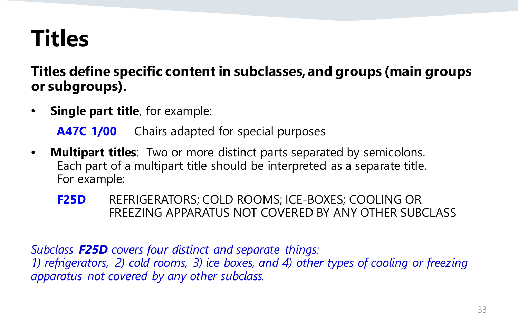### **Titles**

**Titles define specific content in subclasses, and groups (main groups or subgroups).**

• **Single part title**, for example:

**A47C 1/00** Chairs adapted for special purposes

- **Multipart titles**: Two or more distinct parts separated by semicolons. Each part of a multipart title should be interpreted as a separate title. For example:
	- **F25D** REFRIGERATORS; COLD ROOMS; ICE-BOXES; COOLING OR FREEZING APPARATUS NOT COVERED BY ANY OTHER SUBCLASS

*Subclass F25D covers four distinct and separate things: 1) refrigerators, 2) cold rooms, 3) ice boxes, and 4) other types of cooling or freezing apparatus not covered by any other subclass.*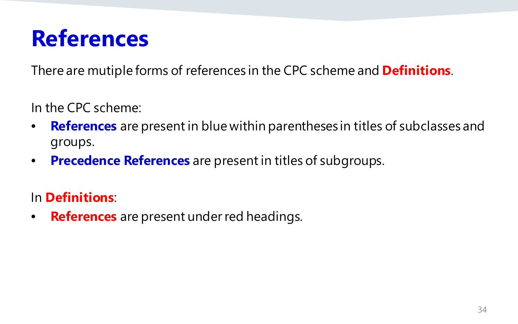### **References**

There are mutiple forms of references in the CPC scheme and **Definitions**.

In the CPC scheme:

- **References** are present in blue within parentheses in titles of subclasses and groups.
- **Precedence References** are present in titles of subgroups.

In **Definitions**:

• **References** are present under red headings.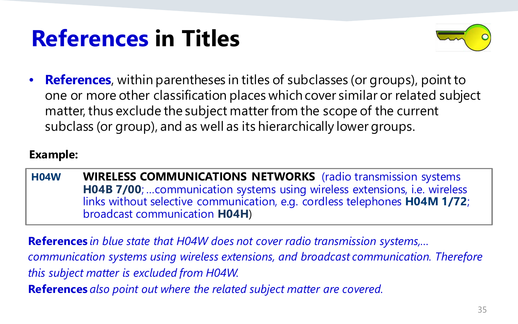## **References in Titles**



• **References**, within parentheses in titles of subclasses (or groups), point to one or more other classification places which cover similar or related subject matter, thus exclude the subject matter from the scope of the current subclass (or group), and as well as its hierarchically lower groups.

#### **Example:**

**H04W WIRELESS COMMUNICATIONS NETWORKS** (radio transmission systems **H04B 7/00**; …communication systems using wireless extensions, i.e. wireless links without selective communication, e.g. cordless telephones **H04M 1/72**; broadcast communication **H04H**)

**References** *in blue state that H04W does not cover radio transmission systems,… communication systems using wireless extensions, and broadcast communication. Therefore this subject matter is excluded from H04W.* 

**References** *also point out where the related subject matter are covered.*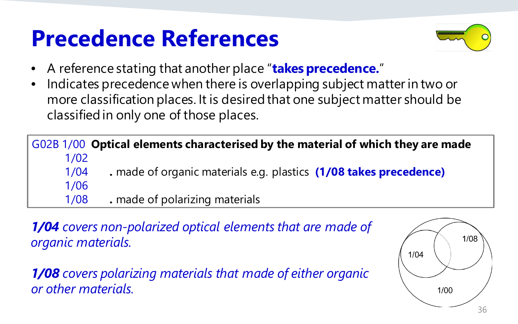### **Precedence References**



- A reference stating that another place "**takes precedence.**"
- Indicates precedence when there is overlapping subject matter in two or more classification places. It is desired that one subject matter should be classified in only one of those places.

|      | G02B 1/00 Optical elements characterised by the material of which they are made |
|------|---------------------------------------------------------------------------------|
| 1/02 |                                                                                 |
| 1/04 | . made of organic materials e.g. plastics (1/08 takes precedence)               |
| 1/06 |                                                                                 |
| 1/08 | . made of polarizing materials                                                  |

*1/04 covers non-polarized optical elements that are made of organic materials.*

*1/08 covers polarizing materials that made of either organic or other materials.* 

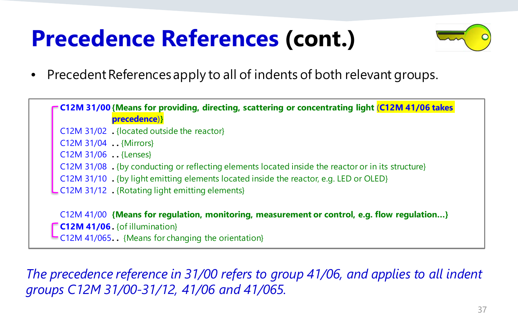### **Precedence References (cont.)**



• Precedent References apply to all of indents of both relevant groups.

|                                          | C12M 31/00 {Means for providing, directing, scattering or concentrating light (C12M 41/06 takes)                                                 |
|------------------------------------------|--------------------------------------------------------------------------------------------------------------------------------------------------|
|                                          | precedence)}                                                                                                                                     |
|                                          | C12M 31/02 . {located outside the reactor}                                                                                                       |
| C12M 31/04 {Mirrors}                     |                                                                                                                                                  |
| C12M 31/06 {Lenses}                      |                                                                                                                                                  |
|                                          | C12M 31/08 . {by conducting or reflecting elements located inside the reactor or in its structure}                                               |
|                                          | C12M 31/10 . {by light emitting elements located inside the reactor, e.g. LED or OLED}                                                           |
|                                          | . C12M 31/12 . {Rotating light emitting elements}                                                                                                |
| $\textsf{C12M 41/06}.$ {of illumination} | C12M 41/00 {Means for regulation, monitoring, measurement or control, e.g. flow regulation}<br>C12M 41/065. {Means for changing the orientation} |

*The precedence reference in 31/00 refers to group 41/06, and applies to all indent groups C12M 31/00-31/12, 41/06 and 41/065.*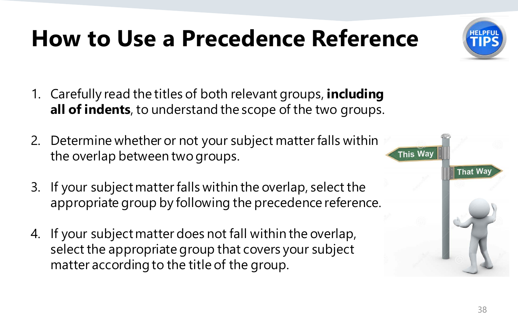## **How to Use a Precedence Reference**

- 1. Carefully read the titles of both relevant groups, **including all of indents**, to understand the scope of the two groups.
- 2. Determine whether or not your subject matter falls within the overlap between two groups.
- 3. If your subject matter falls within the overlap, select the appropriate group by following the precedence reference.
- 4. If your subject matter does not fall within the overlap, select the appropriate group that covers your subject matter according to the title of the group.



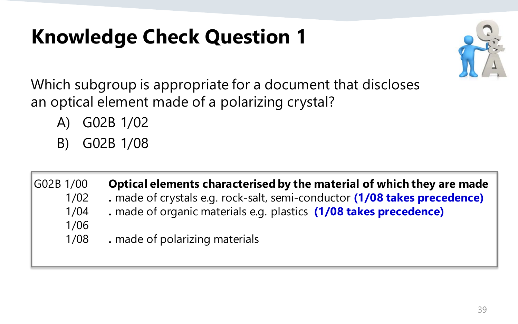### **Knowledge Check Question 1**



Which subgroup is appropriate for a document that discloses an optical element made of a polarizing crystal?

- A) G02B 1/02
- B) G02B 1/08

G02B 1/00 **Optical elements characterised by the material of which they are made**  1/02 **.** made of crystals e.g. rock-salt, semi-conductor **(1/08 takes precedence)** 1/04 **.** made of organic materials e.g. plastics **(1/08 takes precedence)** 1/06 1/08 **.** made of polarizing materials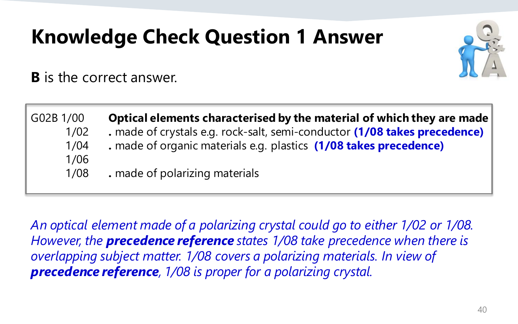### **Knowledge Check Question 1 Answer**



**B** is the correct answer.

| G02B 1/00 | Optical elements characterised by the material of which they are made     |
|-----------|---------------------------------------------------------------------------|
| 1/02      | . made of crystals e.g. rock-salt, semi-conductor (1/08 takes precedence) |
| 1/04      | . made of organic materials e.g. plastics (1/08 takes precedence)         |
| 1/06      |                                                                           |
| 1/08      | . made of polarizing materials                                            |
|           |                                                                           |

*An optical element made of a polarizing crystal could go to either 1/02 or 1/08. However, the precedence reference states 1/08 take precedence when there is overlapping subject matter. 1/08 covers a polarizing materials. In view of precedence reference, 1/08 is proper for a polarizing crystal.*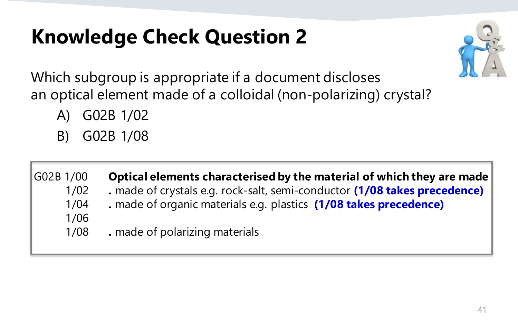### **Knowledge Check Question 2**



Which subgroup is appropriate if a document discloses an optical element made of a colloidal (non-polarizing) crystal?

- A) G02B 1/02
- B) G02B 1/08

| G02B 1/00 | Optical elements characterised by the material of which they are made     |
|-----------|---------------------------------------------------------------------------|
| 1/02      | . made of crystals e.g. rock-salt, semi-conductor (1/08 takes precedence) |
| 1/04      | . made of organic materials e.g. plastics (1/08 takes precedence)         |
| 1/06      |                                                                           |
| 1/08      | . made of polarizing materials                                            |
|           |                                                                           |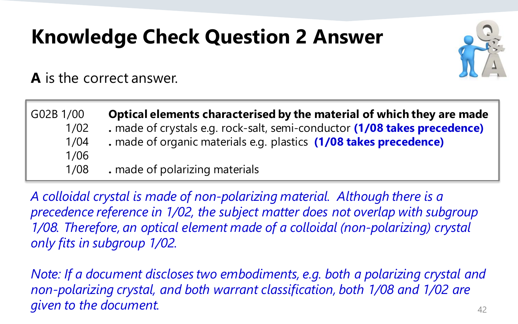### **Knowledge Check Question 2 Answer**



**A** is the correct answer.

| G02B 1/00 | Optical elements characterised by the material of which they are made     |
|-----------|---------------------------------------------------------------------------|
| 1/02      | . made of crystals e.g. rock-salt, semi-conductor (1/08 takes precedence) |
| 1/04      | . made of organic materials e.g. plastics (1/08 takes precedence)         |
| 1/06      |                                                                           |
| 1/08      | . made of polarizing materials                                            |

*A colloidal crystal is made of non-polarizing material. Although there is a precedence reference in 1/02, the subject matter does not overlap with subgroup 1/08. Therefore, an optical element made of a colloidal (non-polarizing) crystal only fits in subgroup 1/02.*

42 *Note: If a document discloses two embodiments, e.g. both a polarizing crystal and non-polarizing crystal, and both warrant classification, both 1/08 and 1/02 are given to the document.*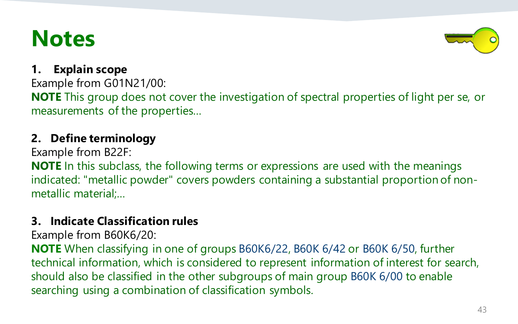### **Notes**



#### **1. Explain scope**

Example from G01N21/00: **NOTE** This group does not cover the investigation of spectral properties of light per se, or measurements of the properties…

#### **2. Define terminology**

Example from B22F: **NOTE** In this subclass, the following terms or expressions are used with the meanings indicated: "metallic powder" covers powders containing a substantial proportion of nonmetallic material;…

#### **3. Indicate Classification rules**

Example from B60K6/20:

**NOTE** When classifying in one of groups B60K6/22, B60K 6/42 or B60K 6/50, further technical information, which is considered to represent information of interest for search, should also be classified in the other subgroups of main group B60K 6/00 to enable searching using a combination of classification symbols.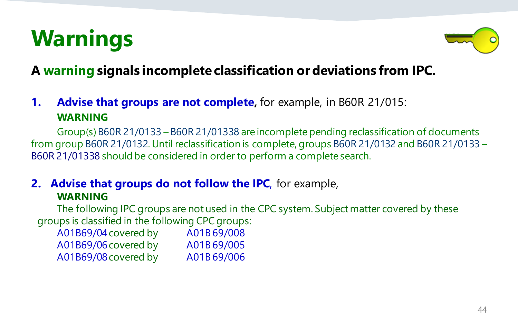



#### **A warning signals incomplete classification or deviations from IPC.**

**1. Advise that groups are not complete,** for example, in B60R 21/015: **WARNING**

Group(s) B60R 21/0133 – B60R 21/01338 are incomplete pending reclassification of documents from group B60R 21/0132. Until reclassification is complete, groups B60R 21/0132 and B60R 21/0133 – B60R 21/01338 should be considered in order to perform a complete search.

#### **2. Advise that groups do not follow the IPC**, for example, **WARNING**

The following IPC groups are not used in the CPC system. Subject matter covered by these groups is classified in the following CPC groups:

A01B69/04 covered by A01B 69/008 A01B69/06 covered by A01B 69/005 A01B69/08 covered by A01B 69/006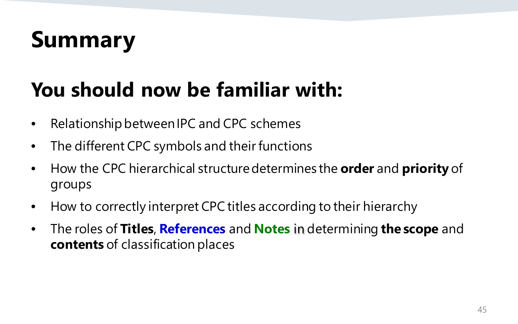# **Summary**

### **You should now be familiar with:**

- Relationship between IPC and CPC schemes
- The different CPC symbols and their functions
- How the CPC hierarchical structure determines the **order** and **priority** of groups
- How to correctly interpret CPC titles according to their hierarchy
- The roles of **Titles**, **References** and **Notes** in determining **the scope** and **contents** of classification places